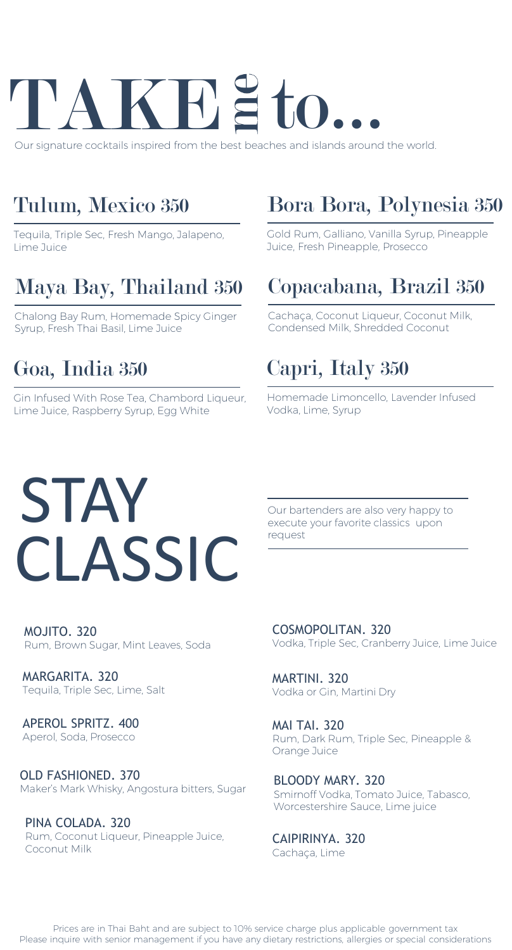

Our signature cocktails inspired from the best beaches and islands around the world.

### Tulum, Mexico 350

Tequila, Triple Sec, Fresh Mango, Jalapeno, Lime Juice

### Maya Bay, Thailand 350

Chalong Bay Rum, Homemade Spicy Ginger Syrup, Fresh Thai Basil, Lime Juice

### Goa, India 350

Gin Infused With Rose Tea, Chambord Liqueur, Lime Juice, Raspberry Syrup, Egg White

### Bora Bora, Polynesia 350

Gold Rum, Galliano, Vanilla Syrup, Pineapple Juice, Fresh Pineapple, Prosecco

### Copacabana, Brazil 350

Cachaça, Coconut Liqueur, Coconut Milk, Condensed Milk, Shredded Coconut

### Capri, Italy 350

Homemade Limoncello, Lavender Infused Vodka, Lime, Syrup

## **STAY** CLASSIC

Our bartenders are also very happy to execute your favorite classics upon request

MOJITO. 320 Rum, Brown Sugar, Mint Leaves, Soda

MARGARITA. 320 Tequila, Triple Sec, Lime, Salt

APEROL SPRITZ. 400 Aperol, Soda, Prosecco

OLD FASHIONED. 370 Maker's Mark Whisky, Angostura bitters, Sugar BLOODY MARY. 320

PINA COLADA. 320 Rum, Coconut Liqueur, Pineapple Juice, Coconut Milk

COSMOPOLITAN. 320 Vodka, Triple Sec, Cranberry Juice, Lime Juice

MARTINI. 320 Vodka or Gin, Martini Dry

MAI TAI. 320 Rum, Dark Rum, Triple Sec, Pineapple & Orange Juice

Smirnoff Vodka, Tomato Juice, Tabasco, Worcestershire Sauce, Lime juice

CAIPIRINYA. 320 Cachaça, Lime

Prices are in Thai Baht and are subject to 10% service charge plus applicable government tax Please inquire with senior management if you have any dietary restrictions, allergies or special considerations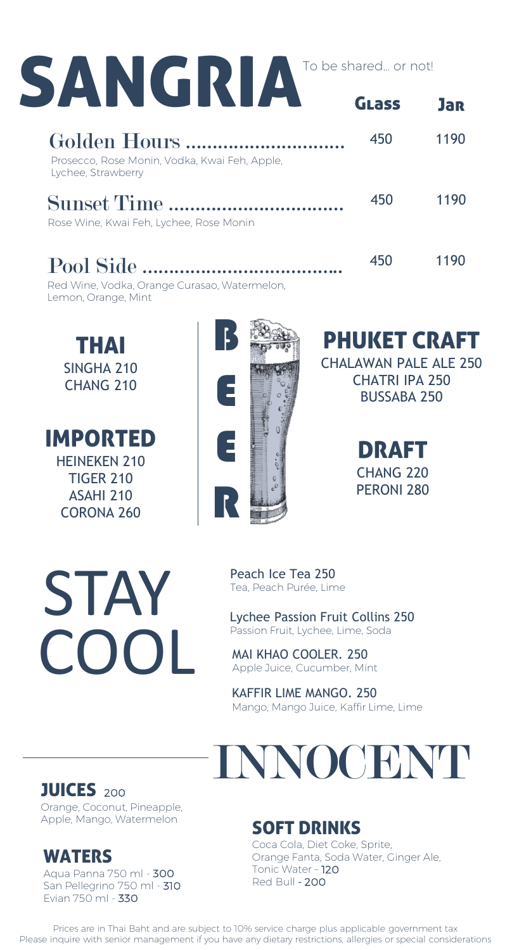| SANGRIA                                                             | To be shared or not! |            |
|---------------------------------------------------------------------|----------------------|------------|
|                                                                     | GLass                | <b>Jar</b> |
| Prosecco, Rose Monin, Vodka, Kwai Feh, Apple,<br>Lychee, Strawberry | 450                  | 1190       |
| Sunset Time<br>Rose Wine, Kwai Feh, Lychee, Rose Monin              | 450                  | 1190       |
| Pool Side                                                           | 450                  | 1190       |

B

E

Red Wine, Vodka, Orange Curasao, Watermelon, Lemon, Orange, Mint

THAI SINGHA 210 CHANG 210

IMPORTED HEINEKEN 210 TIGER 210 ASAHI 210 CORONA 260



E R

PHUKET CRAFT

CHALAWAN PALE ALE 250 CHATRI IPA 250 BUSSABA 250

> DRAFT CHANG 220 PERONI 280

Peach Ice Tea 250 Tea, Peach Purée, Lime

Lychee Passion Fruit Collins 250 Passion Fruit, Lychee, Lime, Soda

MAI KHAO COOLER. 250 Apple Juice, Cucumber, Mint

KAFFIR LIME MANGO. 250 Mango, Mango Juice, Kaffir Lime, Lime



JUICES <sup>200</sup>

Orange, Coconut, Pineapple, Apple, Mango, Watermelon

#### WATERS

Aqua Panna 750 ml - 300 San Pellegrino 750 ml - 310 Evian 750 ml - 330

#### SOFT DRINKS

Coca Cola, Diet Coke, Sprite, Orange Fanta, Soda Water, Ginger Ale, Tonic Water – 120 Red Bull - 200

Prices are in Thai Baht and are subject to 10% service charge plus applicable government tax Please inquire with senior management if you have any dietary restrictions, allergies or special considerations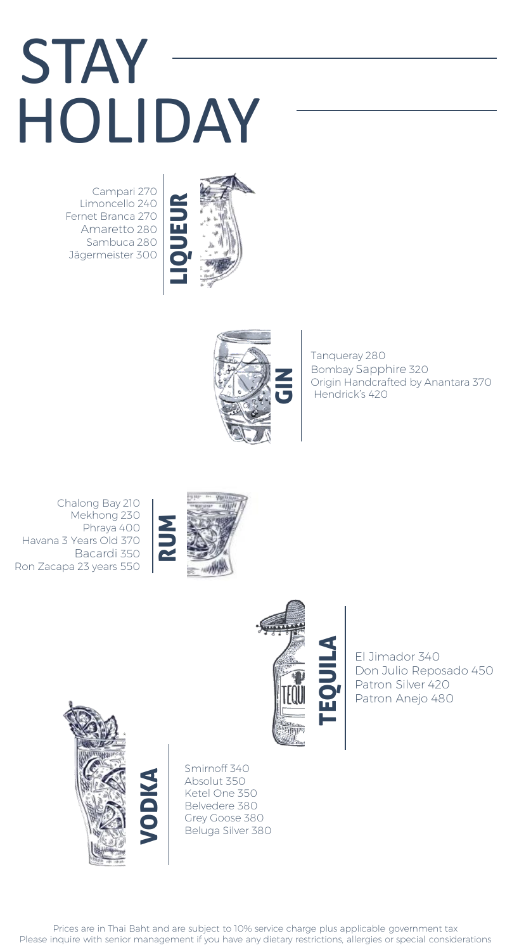## **STAY** HOLIDAY

Campari 270 Limoncello 240 Fernet Branca 270 Amaretto 280 Sambuca 280 Jägermeister 300





Tanqueray 280 Bombay Sapphire 320 Origin Handcrafted by Anantara 370 Hendrick's 420

Chalong Bay 210 Mekhong 230 Phraya 400 Havana 3 Years Old 370 Bacardi 350 Ron Zacapa 23 years 550





El Jimador 340 Don Julio Reposado 450 Patron Silver 420 Patron Anejo 480



Smirnoff 340 Absolut 350 Ketel One 350 Belvedere 380 Grey Goose 380 Beluga Silver 380

Prices are in Thai Baht and are subject to 10% service charge plus applicable government tax Please inquire with senior management if you have any dietary restrictions, allergies or special considerations